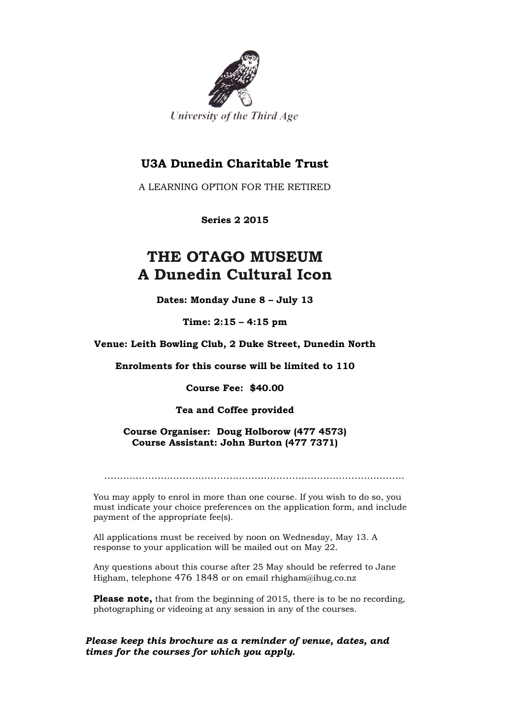

# **U3A Dunedin Charitable Trust**

A LEARNING OPTION FOR THE RETIRED

**Series 2 2015**

# **THE OTAGO MUSEUM A Dunedin Cultural Icon**

**Dates: Monday June 8 – July 13**

**Time: 2:15 – 4:15 pm**

**Venue: Leith Bowling Club, 2 Duke Street, Dunedin North**

**Enrolments for this course will be limited to 110**

**Course Fee: \$40.00**

**Tea and Coffee provided**

**Course Organiser: Doug Holborow (477 4573) Course Assistant: John Burton (477 7371)**

……………………………………………………………………………………

You may apply to enrol in more than one course. If you wish to do so, you must indicate your choice preferences on the application form, and include payment of the appropriate fee(s).

All applications must be received by noon on Wednesday, May 13. A response to your application will be mailed out on May 22.

Any questions about this course after 25 May should be referred to Jane Higham, telephone 476 1848 or on email rhigham@ihug.co.nz

**Please note,** that from the beginning of 2015, there is to be no recording, photographing or videoing at any session in any of the courses.

*Please keep this brochure as a reminder of venue, dates, and times for the courses for which you apply.*